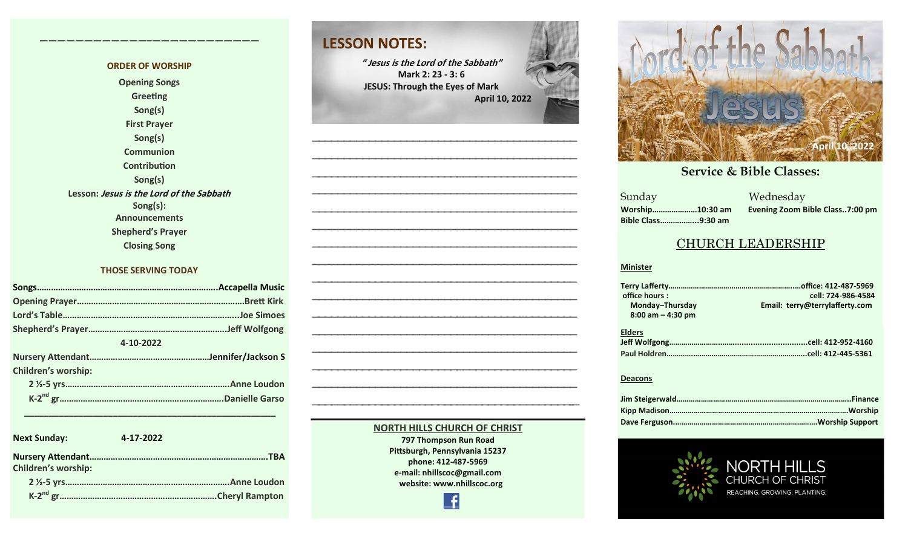#### **ORDER OF WORSHIP Opening Songs Greeting Song(s) First Prayer Song(s) Communion Contribution Song(s) Lesson: Jesus is the Lord of the Sabbath Song(s): Announcements Shepherd's Prayer Closing Song**

**————————————–————————————**

#### **THOSE SERVING TODAY**

| 4-10-2022                  |  |  |  |  |
|----------------------------|--|--|--|--|
|                            |  |  |  |  |
| <b>Children's worship:</b> |  |  |  |  |
|                            |  |  |  |  |
|                            |  |  |  |  |

| <b>Next Sunday:</b>        | 4-17-2022 |
|----------------------------|-----------|
| <b>Children's worship:</b> |           |
|                            |           |
|                            |           |

 **\_\_\_\_\_\_\_\_\_\_\_\_\_\_\_\_\_\_\_\_\_\_\_\_\_\_\_\_\_\_\_\_\_\_\_\_\_\_\_\_\_\_\_\_\_\_\_\_\_\_\_**

### **LESSON NOTES:**

**" Jesus is the Lord of the Sabbath" Mark 2: 23 - 3: 6 JESUS: Through the Eyes of Mark April 10, 2022**



#### **NORTH HILLS CHURCH OF CHRIST**

**797 Thompson Run Road Pittsburgh, Pennsylvania 15237 phone: 412-487-5969 e-mail: nhillscoc@gmail.com website: www.nhillscoc.org** 

Æ



#### **September 24, 2017 October 8, 2017 October 15, 2017 October 8, 2017 October 22, 2017 December 10, 2017 December 24, 2017 January 7, 2017 January 7, 2017 February 21, 2021**

**Sunday Bible Class……………...9:30 am**

**October 29, 2017 November 5, 2017 November 12, 2017 November 26, 2017** a Mednesday<br>Sunday Mednesday **Worship…………………10:30 am Evening Zoom Bible Class..7:00 pm**

I S

#### CHURCH LEADERSHIP

#### **Minister**

| office hours:        | cell: 724-986-4584             |
|----------------------|--------------------------------|
| Monday-Thursday      | Email: terry@terrylafferty.com |
| $8:00$ am $-4:30$ pm |                                |
|                      |                                |
| <b>Elders</b>        |                                |
|                      |                                |
|                      |                                |
|                      |                                |

#### **Deacons**